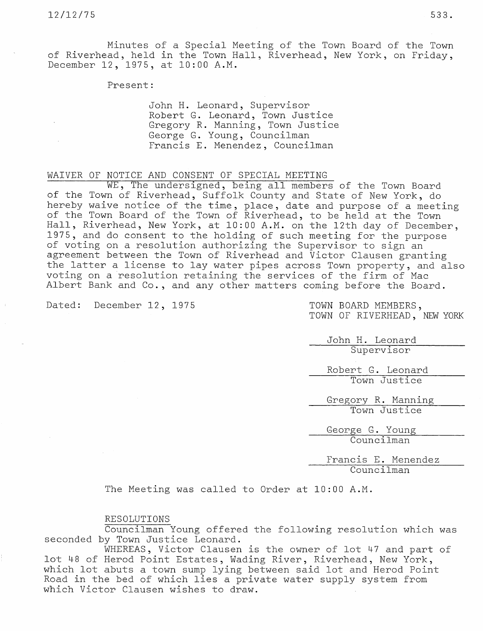Minutes of a Special Meeting of the Town Board of the Town of Riverhead, held in the Town Hall, Riverhead, New York, on Friday, December 12, 1975, at 10:00 A.M.

Present:

John H. Leonard, Supervisor Robert G. Leonard, Town Justice Gregory R. Manning, Town Justice George G. Young, Councilman Francis E. Menendez, Councilman

## WAIVER OF NOTICE AND CONSENT OF SPECIAL MEETING

WE, The undersigned, being all members of the Town Board of the Town of Riverhead, Suffolk County and State of New York, do hereby waive notice of the time, place, date and purpose of a meet of the Town Board of the Town of Riverhead, to be held at the Town Hall, Riverhead, New York, at 10:00 A.M. on the 12th day of December, 1975, and do consent to the holding of such meeting for the purpose of voting on a resolution authorizing the Supervisor to sign an agreement between the Town of Riverhead and Victor Clausen granting the latter a license to lay water pipes across Town property, and also voting on a resolution retaining the services of the firm of Mac Albert Bank and Co., and any other matters coming before the Board.

Dated: December 12, 1975 TOWN BOARD MEMBERS,

TOWN OF RIVERHEAD, NEW YORK

John H. Leonard Supervisor

Robert G. Leonard Town Justice

Gregory R. Manning Town Justice

George G. Young Councilman

Francis E. Menendez Councilman

The Meeting was called to Order at 10:00 A.M.

## RESOLUTIONS

Councilman Young offered the following resolution which was seconded by Town Justice Leonard.

WHEREAS, Victor Clausen is the owner of lot 47 and part of lot 48 of Herod Point Estates, Wading River, Riverhead, New York, which lot abuts a town sump lying between said lot and Herod Point Road in the bed of which lies a private water supply system from which Victor Clausen wishes to draw.